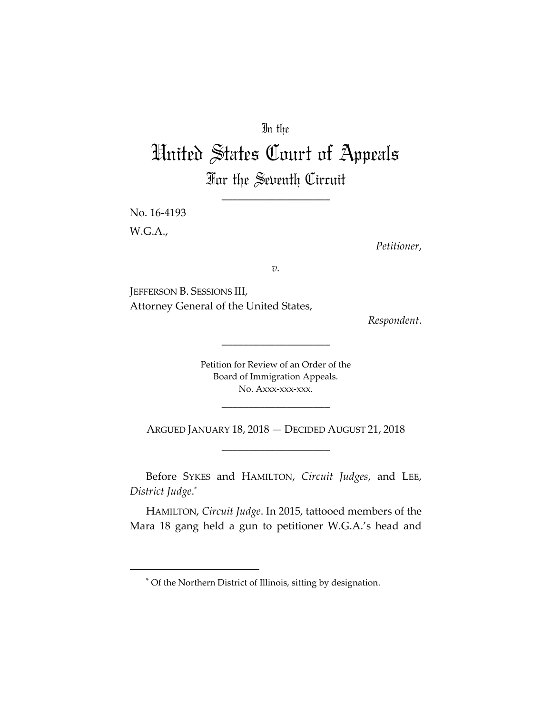# In the

# United States Court of Appeals For the Seventh Circuit

\_\_\_\_\_\_\_\_\_\_\_\_\_\_\_\_\_\_\_\_

No. 16‐4193 W.G.A.,

*Petitioner*,

*v.*

JEFFERSON B. SESSIONS III, Attorney General of the United States,

*Respondent*.

Petition for Review of an Order of the Board of Immigration Appeals. No. Axxx-xxx-xxx.

\_\_\_\_\_\_\_\_\_\_\_\_\_\_\_\_\_\_\_\_

\_\_\_\_\_\_\_\_\_\_\_\_\_\_\_\_\_\_\_\_

ARGUED JANUARY 18, 2018 — DECIDED AUGUST 21, 2018 \_\_\_\_\_\_\_\_\_\_\_\_\_\_\_\_\_\_\_\_

Before SYKES and HAMILTON, *Circuit Judges*, and LEE, *District Judge*. \*

HAMILTON, *Circuit Judge*. In 2015, tattooed members of the Mara 18 gang held a gun to petitioner W.G.A.'s head and

<sup>\*</sup> Of the Northern District of Illinois, sitting by designation.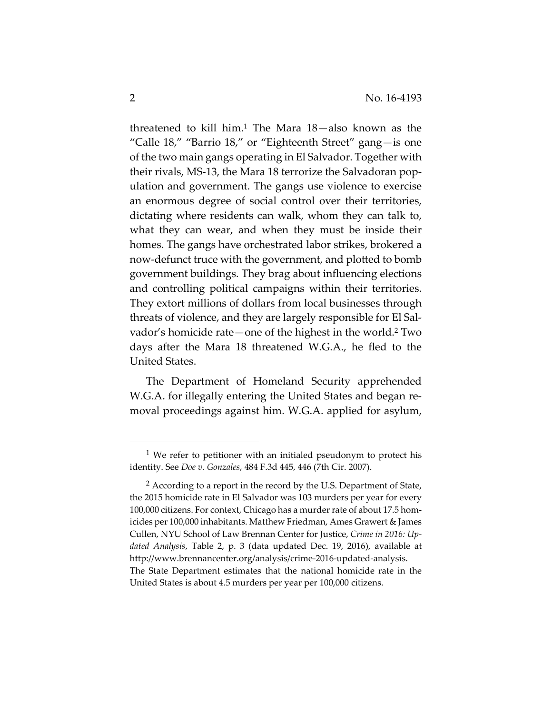threatened to kill him.<sup>1</sup> The Mara  $18$ —also known as the "Calle 18," "Barrio 18," or "Eighteenth Street" gang—is one of the two main gangs operating in El Salvador. Together with their rivals, MS‐13, the Mara 18 terrorize the Salvadoran pop‐ ulation and government. The gangs use violence to exercise an enormous degree of social control over their territories, dictating where residents can walk, whom they can talk to, what they can wear, and when they must be inside their homes. The gangs have orchestrated labor strikes, brokered a now‐defunct truce with the government, and plotted to bomb government buildings. They brag about influencing elections and controlling political campaigns within their territories. They extort millions of dollars from local businesses through threats of violence, and they are largely responsible for El Sal‐ vador's homicide rate—one of the highest in the world.2 Two days after the Mara 18 threatened W.G.A., he fled to the United States.

The Department of Homeland Security apprehended W.G.A. for illegally entering the United States and began removal proceedings against him. W.G.A. applied for asylum,

 $1$  We refer to petitioner with an initialed pseudonym to protect his identity. See *Doe v. Gonzales*, 484 F.3d 445, 446 (7th Cir. 2007).

<sup>&</sup>lt;sup>2</sup> According to a report in the record by the U.S. Department of State, the 2015 homicide rate in El Salvador was 103 murders per year for every 100,000 citizens. For context, Chicago has a murder rate of about 17.5 homicides per 100,000 inhabitants. Matthew Friedman, Ames Grawert & James Cullen, NYU School of Law Brennan Center for Justice, *Crime in 2016: Up‐ dated Analysis*, Table 2, p. 3 (data updated Dec. 19, 2016), available at http://www.brennancenter.org/analysis/crime‐2016‐updated‐analysis. The State Department estimates that the national homicide rate in the United States is about 4.5 murders per year per 100,000 citizens.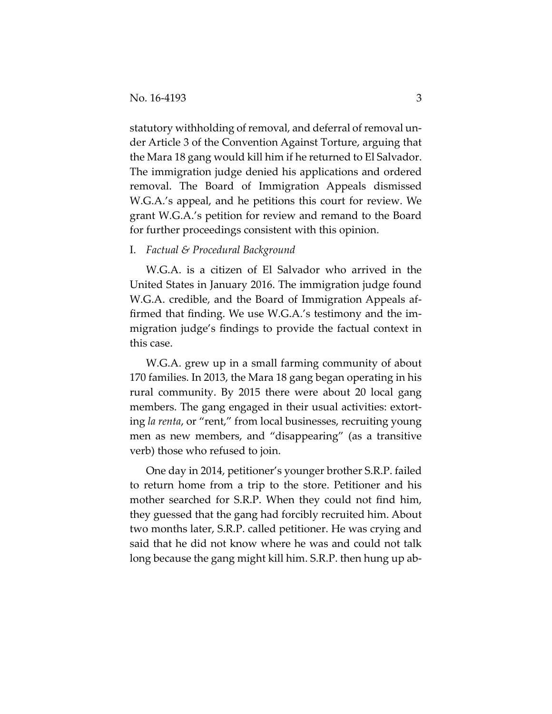statutory withholding of removal, and deferral of removal under Article 3 of the Convention Against Torture, arguing that the Mara 18 gang would kill him if he returned to El Salvador. The immigration judge denied his applications and ordered removal. The Board of Immigration Appeals dismissed W.G.A.'s appeal, and he petitions this court for review. We grant W.G.A.'s petition for review and remand to the Board for further proceedings consistent with this opinion.

# I. *Factual & Procedural Background*

W.G.A. is a citizen of El Salvador who arrived in the United States in January 2016. The immigration judge found W.G.A. credible, and the Board of Immigration Appeals affirmed that finding. We use W.G.A.'s testimony and the im‐ migration judge's findings to provide the factual context in this case.

W.G.A. grew up in a small farming community of about 170 families. In 2013, the Mara 18 gang began operating in his rural community. By 2015 there were about 20 local gang members. The gang engaged in their usual activities: extorting *la renta*, or "rent," from local businesses, recruiting young men as new members, and "disappearing" (as a transitive verb) those who refused to join.

One day in 2014, petitioner's younger brother S.R.P. failed to return home from a trip to the store. Petitioner and his mother searched for S.R.P. When they could not find him, they guessed that the gang had forcibly recruited him. About two months later, S.R.P. called petitioner. He was crying and said that he did not know where he was and could not talk long because the gang might kill him. S.R.P. then hung up ab‐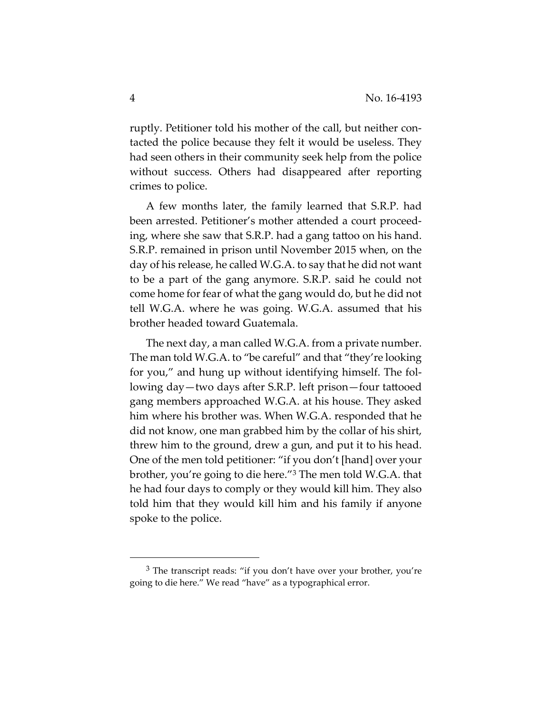ruptly. Petitioner told his mother of the call, but neither contacted the police because they felt it would be useless. They had seen others in their community seek help from the police without success. Others had disappeared after reporting crimes to police.

A few months later, the family learned that S.R.P. had been arrested. Petitioner's mother attended a court proceed‐ ing, where she saw that S.R.P. had a gang tattoo on his hand. S.R.P. remained in prison until November 2015 when, on the day of his release, he called W.G.A. to say that he did not want to be a part of the gang anymore. S.R.P. said he could not come home for fear of what the gang would do, but he did not tell W.G.A. where he was going. W.G.A. assumed that his brother headed toward Guatemala.

The next day, a man called W.G.A. from a private number. The man told W.G.A. to "be careful" and that "they're looking for you," and hung up without identifying himself. The fol‐ lowing day—two days after S.R.P. left prison—four tattooed gang members approached W.G.A. at his house. They asked him where his brother was. When W.G.A. responded that he did not know, one man grabbed him by the collar of his shirt, threw him to the ground, drew a gun, and put it to his head. One of the men told petitioner: "if you don't [hand] over your brother, you're going to die here."3 The men told W.G.A. that he had four days to comply or they would kill him. They also told him that they would kill him and his family if anyone spoke to the police.

<sup>&</sup>lt;sup>3</sup> The transcript reads: "if you don't have over your brother, you're going to die here." We read "have" as a typographical error.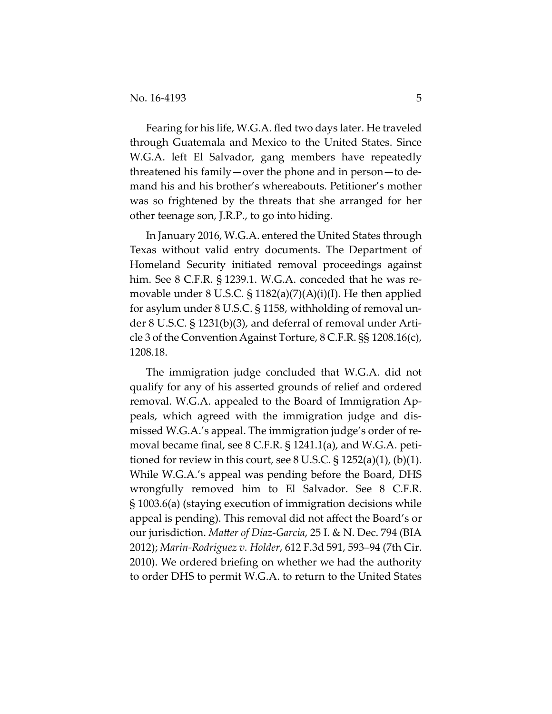Fearing for his life, W.G.A. fled two days later. He traveled through Guatemala and Mexico to the United States. Since W.G.A. left El Salvador, gang members have repeatedly threatened his family—over the phone and in person—to de‐ mand his and his brother's whereabouts. Petitioner's mother was so frightened by the threats that she arranged for her other teenage son, J.R.P., to go into hiding.

In January 2016, W.G.A. entered the United States through Texas without valid entry documents. The Department of Homeland Security initiated removal proceedings against him. See 8 C.F.R. § 1239.1. W.G.A. conceded that he was removable under 8 U.S.C. § 1182(a)(7)(A)(i)(I). He then applied for asylum under 8 U.S.C. § 1158, withholding of removal un‐ der 8 U.S.C. § 1231(b)(3), and deferral of removal under Arti‐ cle 3 of the Convention Against Torture, 8 C.F.R. §§ 1208.16(c), 1208.18.

The immigration judge concluded that W.G.A. did not qualify for any of his asserted grounds of relief and ordered removal. W.G.A. appealed to the Board of Immigration Ap‐ peals, which agreed with the immigration judge and dis‐ missed W.G.A.'s appeal. The immigration judge's order of re‐ moval became final, see 8 C.F.R. § 1241.1(a), and W.G.A. petitioned for review in this court, see 8 U.S.C.  $\S$  1252(a)(1), (b)(1). While W.G.A.'s appeal was pending before the Board, DHS wrongfully removed him to El Salvador. See 8 C.F.R. § 1003.6(a) (staying execution of immigration decisions while appeal is pending). This removal did not affect the Board's or our jurisdiction. *Matter of Diaz‐Garcia*, 25 I. & N. Dec. 794 (BIA 2012); *Marin‐Rodriguez v. Holder*, 612 F.3d 591, 593–94 (7th Cir. 2010). We ordered briefing on whether we had the authority to order DHS to permit W.G.A. to return to the United States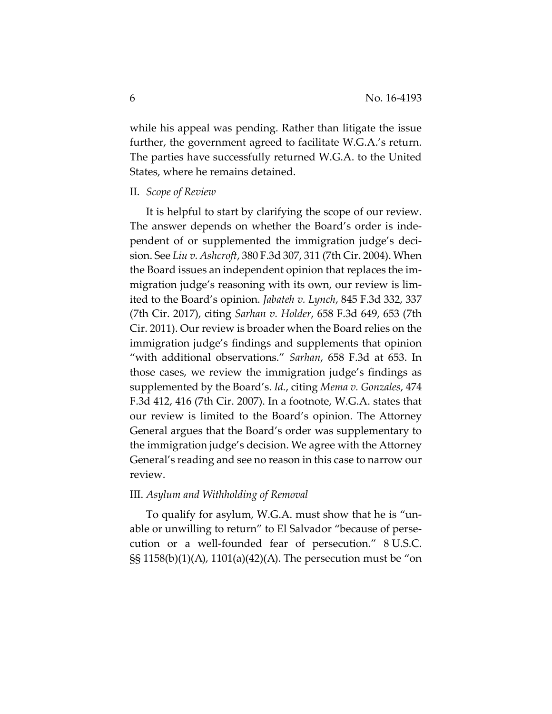while his appeal was pending. Rather than litigate the issue further, the government agreed to facilitate W.G.A.'s return. The parties have successfully returned W.G.A. to the United States, where he remains detained.

#### II. *Scope of Review*

It is helpful to start by clarifying the scope of our review. The answer depends on whether the Board's order is inde‐ pendent of or supplemented the immigration judge's deci‐ sion. See *Liu v. Ashcroft*, 380 F.3d 307, 311 (7th Cir. 2004). When the Board issues an independent opinion that replaces the im‐ migration judge's reasoning with its own, our review is lim‐ ited to the Board's opinion. *Jabateh v. Lynch*, 845 F.3d 332, 337 (7th Cir. 2017), citing *Sarhan v. Holder*, 658 F.3d 649, 653 (7th Cir. 2011). Our review is broader when the Board relies on the immigration judge's findings and supplements that opinion "with additional observations." *Sarhan*, 658 F.3d at 653. In those cases, we review the immigration judge's findings as supplemented by the Board's. *Id.*, citing *Mema v. Gonzales*, 474 F.3d 412, 416 (7th Cir. 2007). In a footnote, W.G.A. states that our review is limited to the Board's opinion. The Attorney General argues that the Board's order was supplementary to the immigration judge's decision. We agree with the Attorney General's reading and see no reason in this case to narrow our review.

#### III. *Asylum and Withholding of Removal*

To qualify for asylum, W.G.A. must show that he is "un‐ able or unwilling to return" to El Salvador "because of perse‐ cution or a well‐founded fear of persecution." 8 U.S.C. §§ 1158(b)(1)(A), 1101(a)(42)(A). The persecution must be "on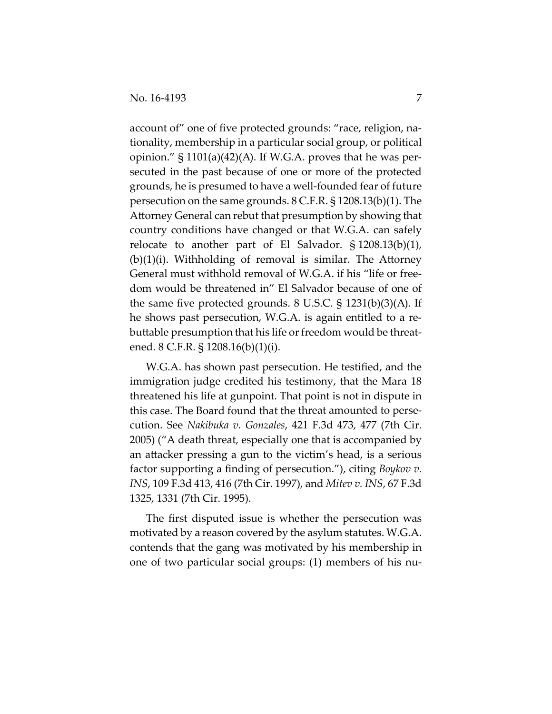account of" one of five protected grounds: "race, religion, na‐ tionality, membership in a particular social group, or political opinion."  $\S 1101(a)(42)(A)$ . If W.G.A. proves that he was persecuted in the past because of one or more of the protected grounds, he is presumed to have a well‐founded fear of future persecution on the same grounds. 8 C.F.R. § 1208.13(b)(1). The Attorney General can rebut that presumption by showing that country conditions have changed or that W.G.A. can safely relocate to another part of El Salvador. § 1208.13(b)(1), (b)(1)(i). Withholding of removal is similar. The Attorney General must withhold removal of W.G.A. if his "life or free‐ dom would be threatened in" El Salvador because of one of the same five protected grounds. 8 U.S.C. § 1231(b)(3)(A). If he shows past persecution, W.G.A. is again entitled to a rebuttable presumption that his life or freedom would be threatened. 8 C.F.R. § 1208.16(b)(1)(i).

W.G.A. has shown past persecution. He testified, and the immigration judge credited his testimony, that the Mara 18 threatened his life at gunpoint. That point is not in dispute in this case. The Board found that the threat amounted to perse‐ cution. See *Nakibuka v. Gonzales*, 421 F.3d 473, 477 (7th Cir. 2005) ("A death threat, especially one that is accompanied by an attacker pressing a gun to the victim's head, is a serious factor supporting a finding of persecution."), citing *Boykov v. INS*, 109 F.3d 413, 416 (7th Cir. 1997), and *Mitev v. INS*, 67 F.3d 1325, 1331 (7th Cir. 1995).

The first disputed issue is whether the persecution was motivated by a reason covered by the asylum statutes. W.G.A. contends that the gang was motivated by his membership in one of two particular social groups: (1) members of his nu‐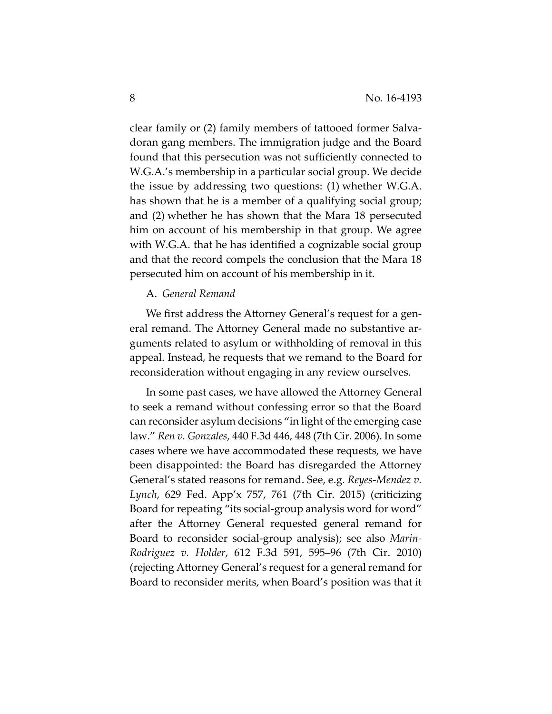clear family or (2) family members of tattooed former Salva‐ doran gang members. The immigration judge and the Board found that this persecution was not sufficiently connected to W.G.A.'s membership in a particular social group. We decide the issue by addressing two questions: (1) whether W.G.A. has shown that he is a member of a qualifying social group; and (2) whether he has shown that the Mara 18 persecuted him on account of his membership in that group. We agree with W.G.A. that he has identified a cognizable social group and that the record compels the conclusion that the Mara 18 persecuted him on account of his membership in it.

# A. *General Remand*

We first address the Attorney General's request for a general remand. The Attorney General made no substantive ar‐ guments related to asylum or withholding of removal in this appeal. Instead, he requests that we remand to the Board for reconsideration without engaging in any review ourselves.

In some past cases, we have allowed the Attorney General to seek a remand without confessing error so that the Board can reconsider asylum decisions "in light of the emerging case law." *Ren v. Gonzales*, 440 F.3d 446, 448 (7th Cir. 2006). In some cases where we have accommodated these requests, we have been disappointed: the Board has disregarded the Attorney General's stated reasons for remand. See, e.g. *Reyes‐Mendez v. Lynch*, 629 Fed. App'x 757, 761 (7th Cir. 2015) (criticizing Board for repeating "its social‐group analysis word for word" after the Attorney General requested general remand for Board to reconsider social‐group analysis); see also *Marin‐ Rodriguez v. Holder*, 612 F.3d 591, 595–96 (7th Cir. 2010) (rejecting Attorney General's request for a general remand for Board to reconsider merits, when Board's position was that it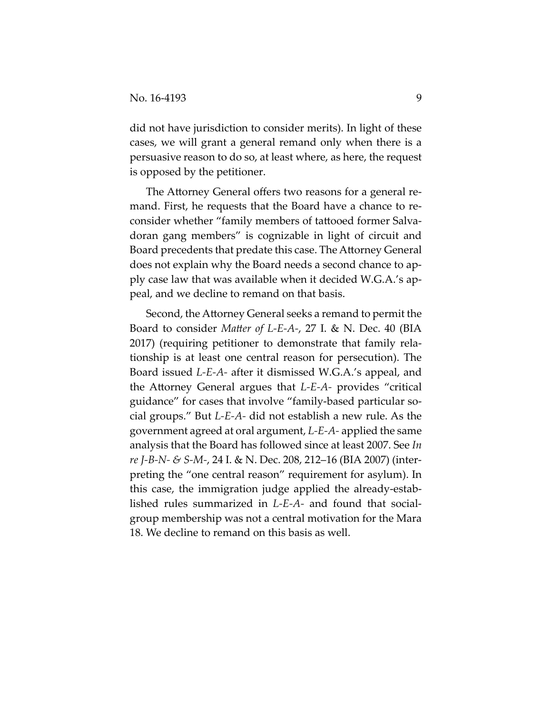did not have jurisdiction to consider merits). In light of these cases, we will grant a general remand only when there is a persuasive reason to do so, at least where, as here, the request is opposed by the petitioner.

The Attorney General offers two reasons for a general re‐ mand. First, he requests that the Board have a chance to re‐ consider whether "family members of tattooed former Salva‐ doran gang members" is cognizable in light of circuit and Board precedents that predate this case. The Attorney General does not explain why the Board needs a second chance to ap‐ ply case law that was available when it decided W.G.A.'s ap‐ peal, and we decline to remand on that basis.

Second, the Attorney General seeks a remand to permit the Board to consider *Matter of L‐E‐A‐*, 27 I. & N. Dec. 40 (BIA 2017) (requiring petitioner to demonstrate that family rela‐ tionship is at least one central reason for persecution). The Board issued *L‐E‐A‐* after it dismissed W.G.A.'s appeal, and the Attorney General argues that *L‐E‐A‐* provides "critical guidance" for cases that involve "family‐based particular so‐ cial groups." But *L‐E‐A‐* did not establish a new rule. As the government agreed at oral argument, *L‐E‐A‐* applied the same analysis that the Board has followed since at least 2007. See *In re J‐B‐N‐ & S‐M‐*, 24 I. & N. Dec. 208, 212–16 (BIA 2007) (inter‐ preting the "one central reason" requirement for asylum). In this case, the immigration judge applied the already‐estab‐ lished rules summarized in *L‐E‐A‐* and found that social‐ group membership was not a central motivation for the Mara 18. We decline to remand on this basis as well.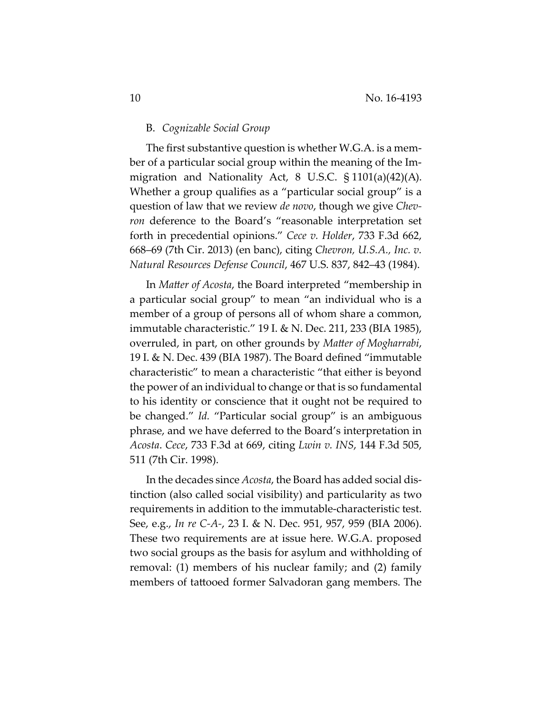# B. *Cognizable Social Group*

The first substantive question is whether W.G.A. is a mem‐ ber of a particular social group within the meaning of the Im‐ migration and Nationality Act, 8 U.S.C. § 1101(a)(42)(A). Whether a group qualifies as a "particular social group" is a question of law that we review *de novo*, though we give *Chev‐ ron* deference to the Board's "reasonable interpretation set forth in precedential opinions." *Cece v. Holder*, 733 F.3d 662, 668–69 (7th Cir. 2013) (en banc), citing *Chevron, U.S.A., Inc. v. Natural Resources Defense Council*, 467 U.S. 837, 842–43 (1984).

In *Matter of Acosta*, the Board interpreted "membership in a particular social group" to mean "an individual who is a member of a group of persons all of whom share a common, immutable characteristic." 19 I. & N. Dec. 211, 233 (BIA 1985), overruled, in part, on other grounds by *Matter of Mogharrabi*, 19 I. & N. Dec. 439 (BIA 1987). The Board defined "immutable characteristic" to mean a characteristic "that either is beyond the power of an individual to change or that is so fundamental to his identity or conscience that it ought not be required to be changed." *Id.* "Particular social group" is an ambiguous phrase, and we have deferred to the Board's interpretation in *Acosta*. *Cece*, 733 F.3d at 669, citing *Lwin v. INS*, 144 F.3d 505, 511 (7th Cir. 1998).

In the decades since *Acosta*, the Board has added social dis‐ tinction (also called social visibility) and particularity as two requirements in addition to the immutable‐characteristic test. See, e.g., *In re C‐A‐*, 23 I. & N. Dec. 951, 957, 959 (BIA 2006). These two requirements are at issue here. W.G.A. proposed two social groups as the basis for asylum and withholding of removal: (1) members of his nuclear family; and (2) family members of tattooed former Salvadoran gang members. The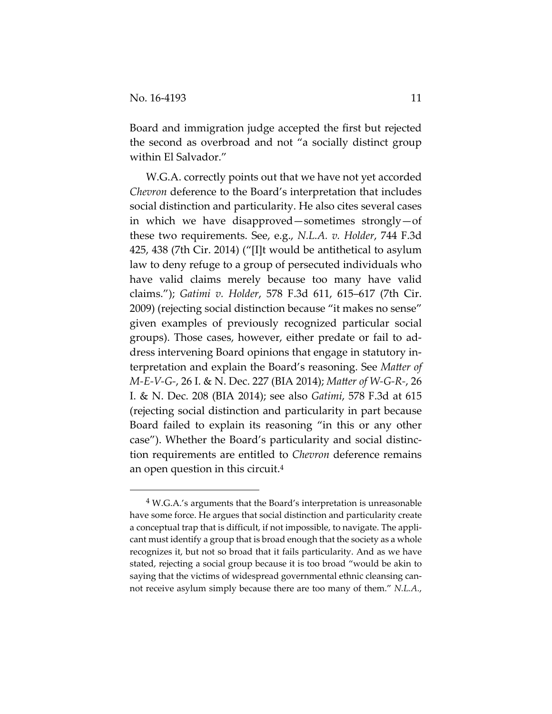Board and immigration judge accepted the first but rejected the second as overbroad and not "a socially distinct group within El Salvador."

W.G.A. correctly points out that we have not yet accorded *Chevron* deference to the Board's interpretation that includes social distinction and particularity. He also cites several cases in which we have disapproved—sometimes strongly—of these two requirements. See, e.g., *N.L.A. v. Holder*, 744 F.3d 425, 438 (7th Cir. 2014) ("[I]t would be antithetical to asylum law to deny refuge to a group of persecuted individuals who have valid claims merely because too many have valid claims."); *Gatimi v. Holder*, 578 F.3d 611, 615–617 (7th Cir. 2009) (rejecting social distinction because "it makes no sense" given examples of previously recognized particular social groups). Those cases, however, either predate or fail to ad‐ dress intervening Board opinions that engage in statutory in‐ terpretation and explain the Board's reasoning. See *Matter of M‐E‐V‐G‐*, 26 I. & N. Dec. 227 (BIA 2014); *Matter of W‐G‐R‐*, 26 I. & N. Dec. 208 (BIA 2014); see also *Gatimi*, 578 F.3d at 615 (rejecting social distinction and particularity in part because Board failed to explain its reasoning "in this or any other case"). Whether the Board's particularity and social distinc‐ tion requirements are entitled to *Chevron* deference remains an open question in this circuit.4

<sup>4</sup> W.G.A.'s arguments that the Board's interpretation is unreasonable have some force. He argues that social distinction and particularity create a conceptual trap that is difficult, if not impossible, to navigate. The appli‐ cant must identify a group that is broad enough that the society as a whole recognizes it, but not so broad that it fails particularity. And as we have stated, rejecting a social group because it is too broad "would be akin to saying that the victims of widespread governmental ethnic cleansing cannot receive asylum simply because there are too many of them." *N.L.A.*,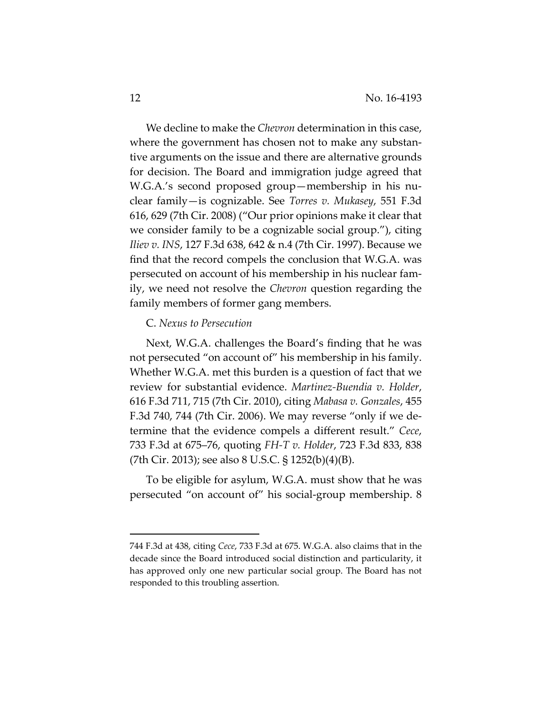We decline to make the *Chevron* determination in this case, where the government has chosen not to make any substantive arguments on the issue and there are alternative grounds for decision. The Board and immigration judge agreed that W.G.A.'s second proposed group—membership in his nu‐ clear family—is cognizable. See *Torres v. Mukasey*, 551 F.3d 616, 629 (7th Cir. 2008) ("Our prior opinions make it clear that we consider family to be a cognizable social group."), citing *Iliev v. INS*, 127 F.3d 638, 642 & n.4 (7th Cir. 1997). Because we find that the record compels the conclusion that W.G.A. was persecuted on account of his membership in his nuclear fam‐ ily, we need not resolve the *Chevron* question regarding the family members of former gang members.

#### C. *Nexus to Persecution*

Next, W.G.A. challenges the Board's finding that he was not persecuted "on account of" his membership in his family. Whether W.G.A. met this burden is a question of fact that we review for substantial evidence. *Martinez‐Buendia v. Holder*, 616 F.3d 711, 715 (7th Cir. 2010), citing *Mabasa v. Gonzales*, 455 F.3d 740, 744 (7th Cir. 2006). We may reverse "only if we de‐ termine that the evidence compels a different result." *Cece*, 733 F.3d at 675–76, quoting *FH‐T v. Holder*, 723 F.3d 833, 838 (7th Cir. 2013); see also 8 U.S.C. § 1252(b)(4)(B).

To be eligible for asylum, W.G.A. must show that he was persecuted "on account of" his social‐group membership. 8

<sup>744</sup> F.3d at 438, citing *Cece*, 733 F.3d at 675. W.G.A. also claims that in the decade since the Board introduced social distinction and particularity, it has approved only one new particular social group. The Board has not responded to this troubling assertion.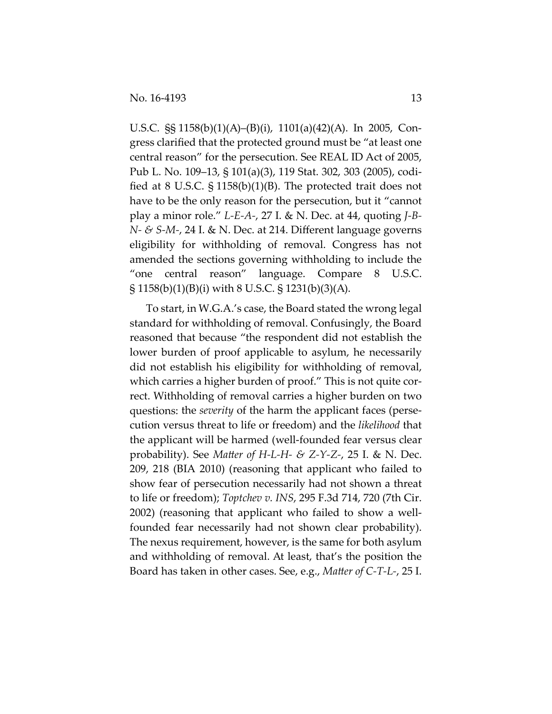U.S.C. §§ 1158(b)(1)(A)–(B)(i), 1101(a)(42)(A). In 2005, Con‐ gress clarified that the protected ground must be "at least one central reason" for the persecution. See REAL ID Act of 2005, Pub L. No. 109–13, § 101(a)(3), 119 Stat. 302, 303 (2005), codi‐ fied at 8 U.S.C. § 1158(b)(1)(B). The protected trait does not have to be the only reason for the persecution, but it "cannot play a minor role." *L‐E‐A‐*, 27 I. & N. Dec. at 44, quoting *J‐B‐ N‐ & S‐M‐*, 24 I. & N. Dec. at 214. Different language governs eligibility for withholding of removal. Congress has not amended the sections governing withholding to include the "one central reason" language. Compare 8 U.S.C. § 1158(b)(1)(B)(i) with 8 U.S.C. § 1231(b)(3)(A).

To start, in W.G.A.'s case, the Board stated the wrong legal standard for withholding of removal. Confusingly, the Board reasoned that because "the respondent did not establish the lower burden of proof applicable to asylum, he necessarily did not establish his eligibility for withholding of removal, which carries a higher burden of proof." This is not quite correct. Withholding of removal carries a higher burden on two questions: the *severity* of the harm the applicant faces (persecution versus threat to life or freedom) and the *likelihood* that the applicant will be harmed (well‐founded fear versus clear probability). See *Matter of H‐L‐H‐ & Z‐Y‐Z‐*, 25 I. & N. Dec. 209, 218 (BIA 2010) (reasoning that applicant who failed to show fear of persecution necessarily had not shown a threat to life or freedom); *Toptchev v. INS*, 295 F.3d 714, 720 (7th Cir. 2002) (reasoning that applicant who failed to show a well‐ founded fear necessarily had not shown clear probability). The nexus requirement, however, is the same for both asylum and withholding of removal. At least, that's the position the Board has taken in other cases. See, e.g., *Matter of C‐T‐L‐*, 25 I.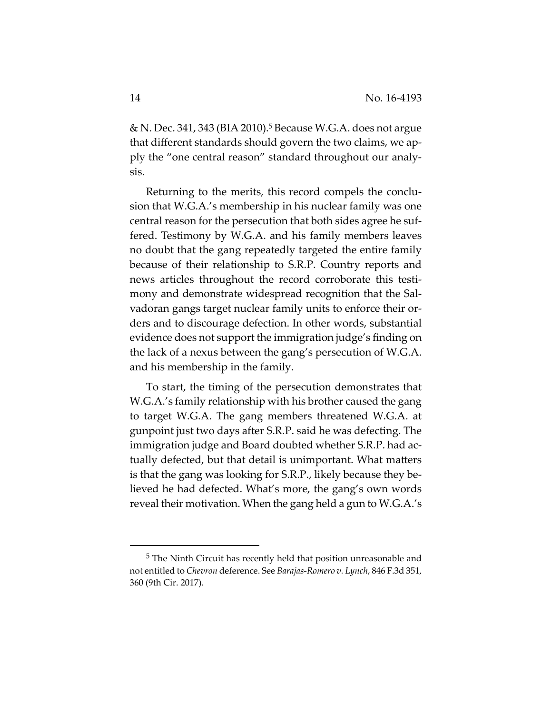& N. Dec. 341, 343 (BIA 2010).5 Because W.G.A. does not argue that different standards should govern the two claims, we ap‐ ply the "one central reason" standard throughout our analy‐ sis.

Returning to the merits, this record compels the conclu‐ sion that W.G.A.'s membership in his nuclear family was one central reason for the persecution that both sides agree he suf‐ fered. Testimony by W.G.A. and his family members leaves no doubt that the gang repeatedly targeted the entire family because of their relationship to S.R.P. Country reports and news articles throughout the record corroborate this testimony and demonstrate widespread recognition that the Salvadoran gangs target nuclear family units to enforce their or‐ ders and to discourage defection. In other words, substantial evidence does not support the immigration judge's finding on the lack of a nexus between the gang's persecution of W.G.A. and his membership in the family.

To start, the timing of the persecution demonstrates that W.G.A.'s family relationship with his brother caused the gang to target W.G.A. The gang members threatened W.G.A. at gunpoint just two days after S.R.P. said he was defecting. The immigration judge and Board doubted whether S.R.P. had actually defected, but that detail is unimportant. What matters is that the gang was looking for S.R.P., likely because they be‐ lieved he had defected. What's more, the gang's own words reveal their motivation. When the gang held a gun to W.G.A.'s

<sup>5</sup> The Ninth Circuit has recently held that position unreasonable and not entitled to *Chevron* deference. See *Barajas‐Romero v. Lynch*, 846 F.3d 351, 360 (9th Cir. 2017).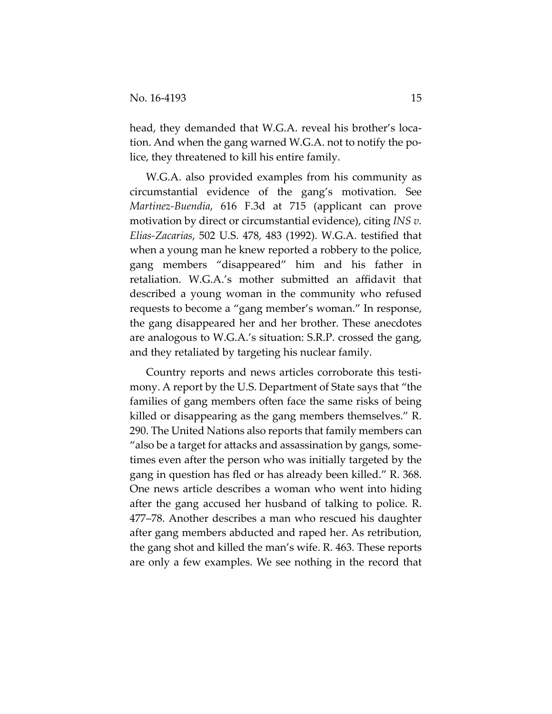head, they demanded that W.G.A. reveal his brother's location. And when the gang warned W.G.A. not to notify the po‐ lice, they threatened to kill his entire family.

W.G.A. also provided examples from his community as circumstantial evidence of the gang's motivation. See *Martinez‐Buendia*, 616 F.3d at 715 (applicant can prove motivation by direct or circumstantial evidence), citing *INS v. Elias‐Zacarias*, 502 U.S. 478, 483 (1992). W.G.A. testified that when a young man he knew reported a robbery to the police, gang members "disappeared" him and his father in retaliation. W.G.A.'s mother submitted an affidavit that described a young woman in the community who refused requests to become a "gang member's woman." In response, the gang disappeared her and her brother. These anecdotes are analogous to W.G.A.'s situation: S.R.P. crossed the gang, and they retaliated by targeting his nuclear family.

Country reports and news articles corroborate this testi‐ mony. A report by the U.S. Department of State says that "the families of gang members often face the same risks of being killed or disappearing as the gang members themselves." R. 290. The United Nations also reports that family members can "also be a target for attacks and assassination by gangs, some‐ times even after the person who was initially targeted by the gang in question has fled or has already been killed." R. 368. One news article describes a woman who went into hiding after the gang accused her husband of talking to police. R. 477–78. Another describes a man who rescued his daughter after gang members abducted and raped her. As retribution, the gang shot and killed the man's wife. R. 463. These reports are only a few examples. We see nothing in the record that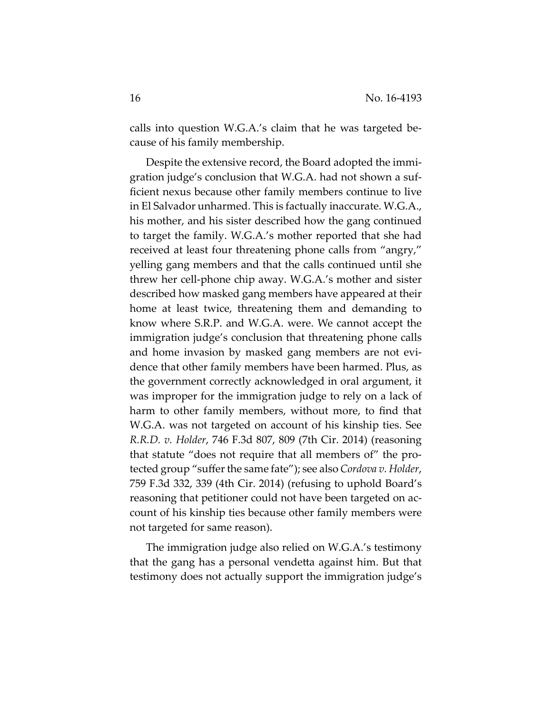calls into question W.G.A.'s claim that he was targeted be‐ cause of his family membership.

Despite the extensive record, the Board adopted the immi‐ gration judge's conclusion that W.G.A. had not shown a suf‐ ficient nexus because other family members continue to live in El Salvador unharmed. This is factually inaccurate. W.G.A., his mother, and his sister described how the gang continued to target the family. W.G.A.'s mother reported that she had received at least four threatening phone calls from "angry," yelling gang members and that the calls continued until she threw her cell‐phone chip away. W.G.A.'s mother and sister described how masked gang members have appeared at their home at least twice, threatening them and demanding to know where S.R.P. and W.G.A. were. We cannot accept the immigration judge's conclusion that threatening phone calls and home invasion by masked gang members are not evidence that other family members have been harmed. Plus, as the government correctly acknowledged in oral argument, it was improper for the immigration judge to rely on a lack of harm to other family members, without more, to find that W.G.A. was not targeted on account of his kinship ties. See *R.R.D. v. Holder*, 746 F.3d 807, 809 (7th Cir. 2014) (reasoning that statute "does not require that all members of" the pro‐ tected group "sufferthe same fate"); see also *Cordova v. Holder*, 759 F.3d 332, 339 (4th Cir. 2014) (refusing to uphold Board's reasoning that petitioner could not have been targeted on ac‐ count of his kinship ties because other family members were not targeted for same reason).

The immigration judge also relied on W.G.A.'s testimony that the gang has a personal vendetta against him. But that testimony does not actually support the immigration judge's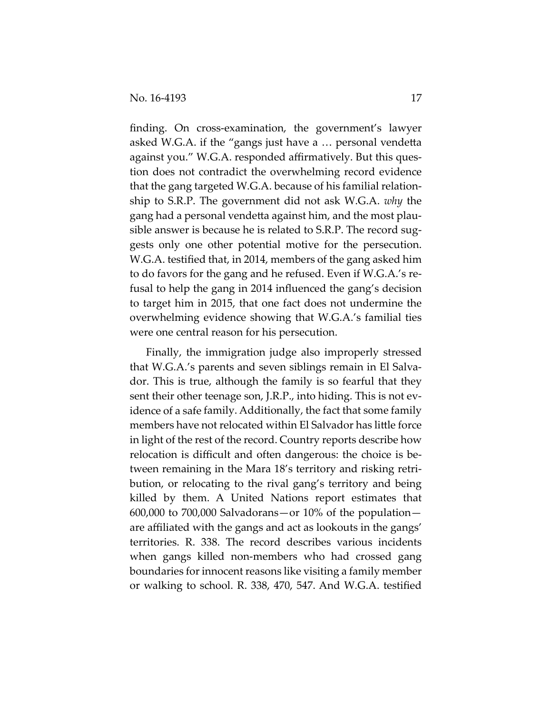finding. On cross-examination, the government's lawyer asked W.G.A. if the "gangs just have a … personal vendetta against you." W.G.A. responded affirmatively. But this ques‐ tion does not contradict the overwhelming record evidence that the gang targeted W.G.A. because of his familial relation‐ ship to S.R.P. The government did not ask W.G.A. *why* the gang had a personal vendetta against him, and the most plau‐ sible answer is because he is related to S.R.P. The record suggests only one other potential motive for the persecution. W.G.A. testified that, in 2014, members of the gang asked him to do favors for the gang and he refused. Even if W.G.A.'s re‐ fusal to help the gang in 2014 influenced the gang's decision to target him in 2015, that one fact does not undermine the overwhelming evidence showing that W.G.A.'s familial ties were one central reason for his persecution.

Finally, the immigration judge also improperly stressed that W.G.A.'s parents and seven siblings remain in El Salva‐ dor. This is true, although the family is so fearful that they sent their other teenage son, J.R.P., into hiding. This is not evidence of a safe family. Additionally, the fact that some family members have not relocated within El Salvador has little force in light of the rest of the record. Country reports describe how relocation is difficult and often dangerous: the choice is be‐ tween remaining in the Mara 18's territory and risking retri‐ bution, or relocating to the rival gang's territory and being killed by them. A United Nations report estimates that  $600,000$  to  $700,000$  Salvadorans—or  $10\%$  of the population are affiliated with the gangs and act as lookouts in the gangs' territories. R. 338. The record describes various incidents when gangs killed non‐members who had crossed gang boundaries for innocent reasons like visiting a family member or walking to school. R. 338, 470, 547. And W.G.A. testified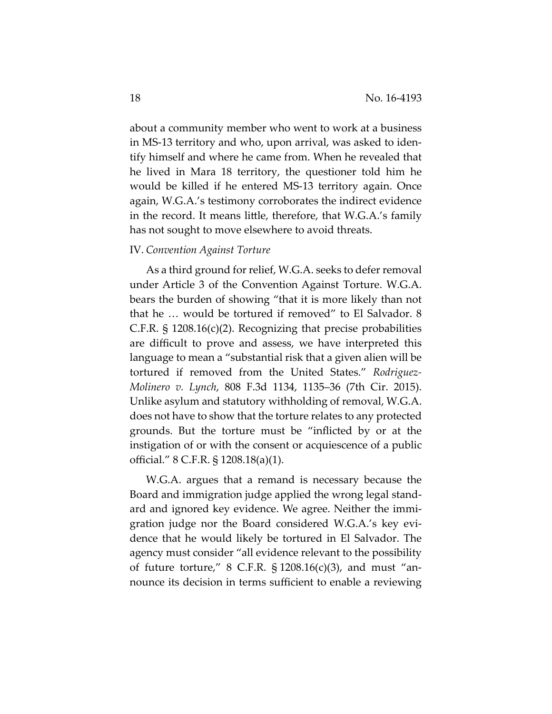about a community member who went to work at a business in MS‐13 territory and who, upon arrival, was asked to iden‐ tify himself and where he came from. When he revealed that he lived in Mara 18 territory, the questioner told him he would be killed if he entered MS‐13 territory again. Once again, W.G.A.'s testimony corroborates the indirect evidence in the record. It means little, therefore, that W.G.A.'s family has not sought to move elsewhere to avoid threats.

# IV. *Convention Against Torture*

As a third ground for relief, W.G.A. seeks to defer removal under Article 3 of the Convention Against Torture. W.G.A. bears the burden of showing "that it is more likely than not that he … would be tortured if removed" to El Salvador. 8 C.F.R. § 1208.16(c)(2). Recognizing that precise probabilities are difficult to prove and assess, we have interpreted this language to mean a "substantial risk that a given alien will be tortured if removed from the United States." *Rodriguez‐ Molinero v. Lynch*, 808 F.3d 1134, 1135–36 (7th Cir. 2015). Unlike asylum and statutory withholding of removal, W.G.A. does not have to show that the torture relates to any protected grounds. But the torture must be "inflicted by or at the instigation of or with the consent or acquiescence of a public official." 8 C.F.R. § 1208.18(a)(1).

W.G.A. argues that a remand is necessary because the Board and immigration judge applied the wrong legal stand‐ ard and ignored key evidence. We agree. Neither the immi‐ gration judge nor the Board considered W.G.A.'s key evi‐ dence that he would likely be tortured in El Salvador. The agency must consider "all evidence relevant to the possibility of future torture,"  $\frac{8 \text{ C.F.R. } }{3 \cdot 1208.16 \text{ (c)} \cdot \text{ (3)}}$ , and must "announce its decision in terms sufficient to enable a reviewing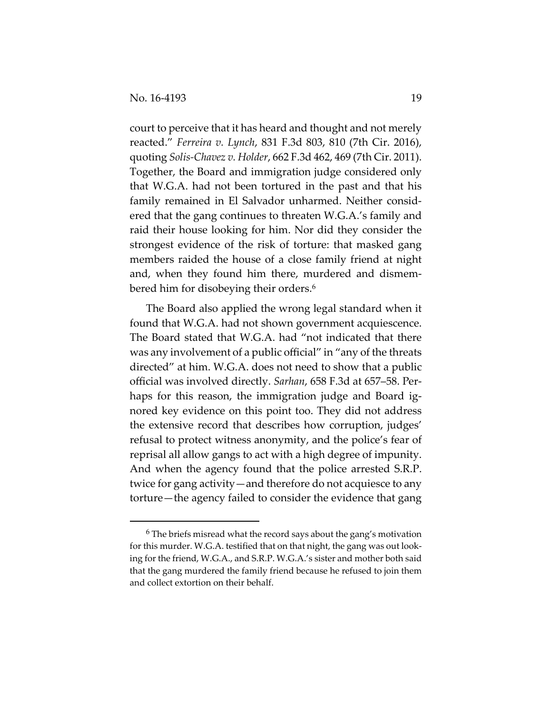court to perceive that it has heard and thought and not merely reacted." *Ferreira v. Lynch*, 831 F.3d 803, 810 (7th Cir. 2016), quoting *Solis‐Chavez v. Holder*, 662 F.3d 462, 469 (7th Cir. 2011). Together, the Board and immigration judge considered only that W.G.A. had not been tortured in the past and that his family remained in El Salvador unharmed. Neither considered that the gang continues to threaten W.G.A.'s family and raid their house looking for him. Nor did they consider the strongest evidence of the risk of torture: that masked gang members raided the house of a close family friend at night and, when they found him there, murdered and dismembered him for disobeying their orders.6

The Board also applied the wrong legal standard when it found that W.G.A. had not shown government acquiescence. The Board stated that W.G.A. had "not indicated that there was any involvement of a public official" in "any of the threats directed" at him. W.G.A. does not need to show that a public official was involved directly. *Sarhan*, 658 F.3d at 657–58. Per‐ haps for this reason, the immigration judge and Board ignored key evidence on this point too. They did not address the extensive record that describes how corruption, judges' refusal to protect witness anonymity, and the police's fear of reprisal all allow gangs to act with a high degree of impunity. And when the agency found that the police arrested S.R.P. twice for gang activity—and therefore do not acquiesce to any torture—the agency failed to consider the evidence that gang

<sup>&</sup>lt;sup>6</sup> The briefs misread what the record says about the gang's motivation for this murder. W.G.A. testified that on that night, the gang was out looking for the friend, W.G.A., and S.R.P. W.G.A.'s sister and mother both said that the gang murdered the family friend because he refused to join them and collect extortion on their behalf.